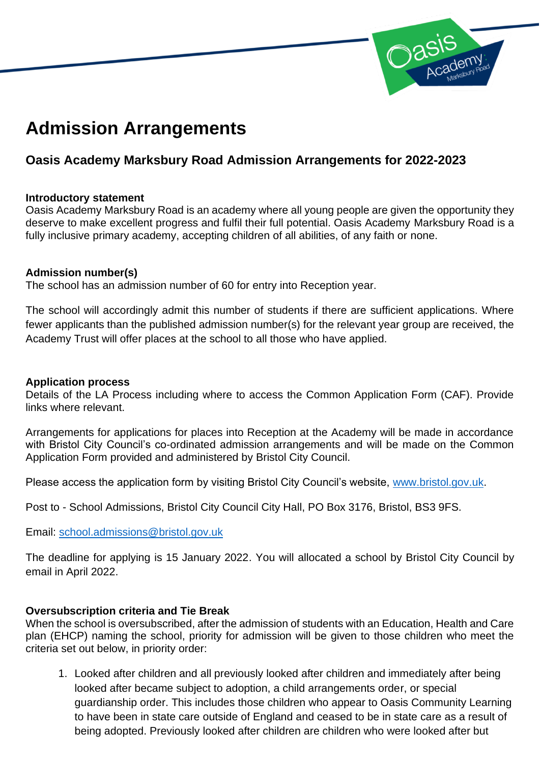

# **Admission Arrangements**

# **Oasis Academy Marksbury Road Admission Arrangements for 2022-2023**

#### **Introductory statement**

Oasis Academy Marksbury Road is an academy where all young people are given the opportunity they deserve to make excellent progress and fulfil their full potential. Oasis Academy Marksbury Road is a fully inclusive primary academy, accepting children of all abilities, of any faith or none.

#### **Admission number(s)**

The school has an admission number of 60 for entry into Reception year.

The school will accordingly admit this number of students if there are sufficient applications. Where fewer applicants than the published admission number(s) for the relevant year group are received, the Academy Trust will offer places at the school to all those who have applied.

#### **Application process**

Details of the LA Process including where to access the Common Application Form (CAF). Provide links where relevant.

Arrangements for applications for places into Reception at the Academy will be made in accordance with Bristol City Council's co-ordinated admission arrangements and will be made on the Common Application Form provided and administered by Bristol City Council.

Please access the application form by visiting Bristol City Council's website, [www.bristol.gov.uk.](http://www.bristol.gov.uk/)

Post to - School Admissions, Bristol City Council City Hall, PO Box 3176, Bristol, BS3 9FS.

Email: [school.admissions@bristol.gov.uk](mailto:school.admissions@bristol.gov.uk)

The deadline for applying is 15 January 2022. You will allocated a school by Bristol City Council by email in April 2022.

#### **Oversubscription criteria and Tie Break**

When the school is oversubscribed, after the admission of students with an Education, Health and Care plan (EHCP) naming the school, priority for admission will be given to those children who meet the criteria set out below, in priority order:

1. Looked after children and all previously looked after children and immediately after being looked after became subject to adoption, a child arrangements order, or special guardianship order. This includes those children who appear to Oasis Community Learning to have been in state care outside of England and ceased to be in state care as a result of being adopted. Previously looked after children are children who were looked after but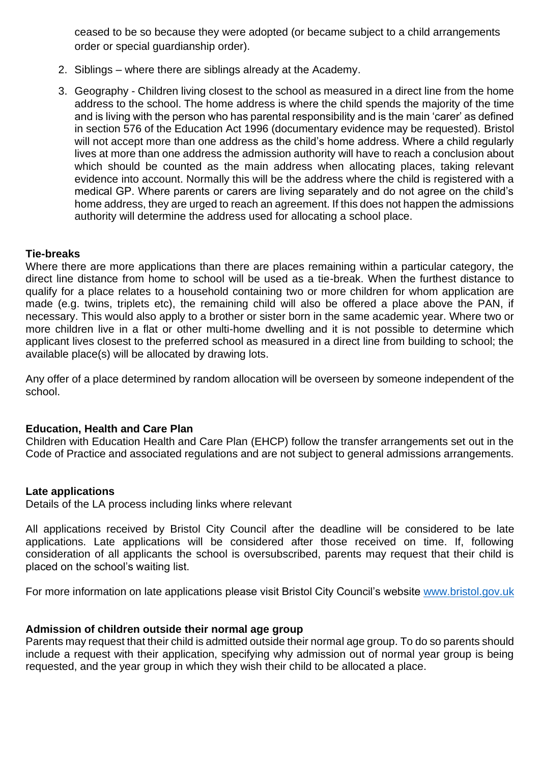ceased to be so because they were adopted (or became subject to a child arrangements order or special guardianship order).

- 2. Siblings where there are siblings already at the Academy.
- 3. Geography Children living closest to the school as measured in a direct line from the home address to the school. The home address is where the child spends the majority of the time and is living with the person who has parental responsibility and is the main 'carer' as defined in section 576 of the Education Act 1996 (documentary evidence may be requested). Bristol will not accept more than one address as the child's home address. Where a child regularly lives at more than one address the admission authority will have to reach a conclusion about which should be counted as the main address when allocating places, taking relevant evidence into account. Normally this will be the address where the child is registered with a medical GP. Where parents or carers are living separately and do not agree on the child's home address, they are urged to reach an agreement. If this does not happen the admissions authority will determine the address used for allocating a school place.

#### **Tie-breaks**

Where there are more applications than there are places remaining within a particular category, the direct line distance from home to school will be used as a tie-break. When the furthest distance to qualify for a place relates to a household containing two or more children for whom application are made (e.g. twins, triplets etc), the remaining child will also be offered a place above the PAN, if necessary. This would also apply to a brother or sister born in the same academic year. Where two or more children live in a flat or other multi-home dwelling and it is not possible to determine which applicant lives closest to the preferred school as measured in a direct line from building to school; the available place(s) will be allocated by drawing lots.

Any offer of a place determined by random allocation will be overseen by someone independent of the school.

#### **Education, Health and Care Plan**

Children with Education Health and Care Plan (EHCP) follow the transfer arrangements set out in the Code of Practice and associated regulations and are not subject to general admissions arrangements.

#### **Late applications**

Details of the LA process including links where relevant

All applications received by Bristol City Council after the deadline will be considered to be late applications. Late applications will be considered after those received on time. If, following consideration of all applicants the school is oversubscribed, parents may request that their child is placed on the school's waiting list.

For more information on late applications please visit Bristol City Council's website [www.bristol.gov.uk](http://www.bristol.gov.uk/)

#### **Admission of children outside their normal age group**

Parents may request that their child is admitted outside their normal age group. To do so parents should include a request with their application, specifying why admission out of normal year group is being requested, and the year group in which they wish their child to be allocated a place.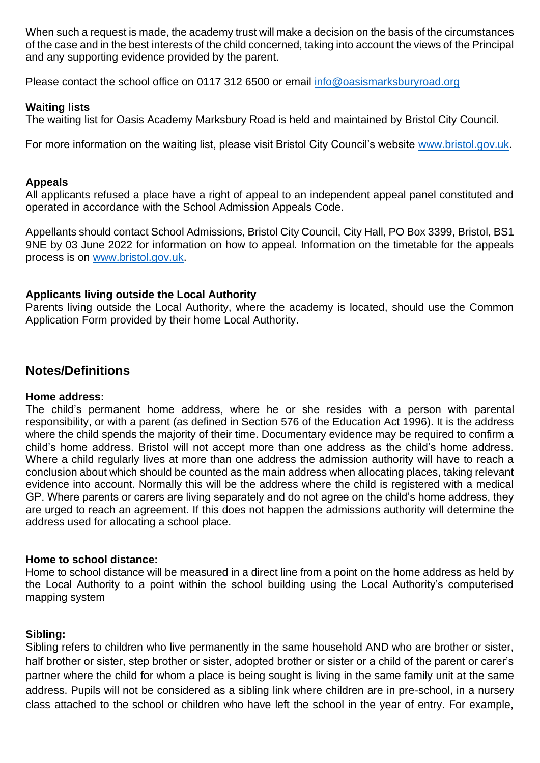When such a request is made, the academy trust will make a decision on the basis of the circumstances of the case and in the best interests of the child concerned, taking into account the views of the Principal and any supporting evidence provided by the parent.

Please contact the school office on 0117 312 6500 or email [info@oasismarksburyroad.org](mailto:info@oasismarksburyroad.org)

#### **Waiting lists**

The waiting list for Oasis Academy Marksbury Road is held and maintained by Bristol City Council.

For more information on the waiting list, please visit Bristol City Council's website [www.bristol.gov.uk.](http://www.bristol.gov.uk/)

#### **Appeals**

All applicants refused a place have a right of appeal to an independent appeal panel constituted and operated in accordance with the School Admission Appeals Code.

Appellants should contact School Admissions, Bristol City Council, City Hall, PO Box 3399, Bristol, BS1 9NE by 03 June 2022 for information on how to appeal. Information on the timetable for the appeals process is on [www.bristol.gov.uk.](http://www.bristol.gov.uk/)

#### **Applicants living outside the Local Authority**

Parents living outside the Local Authority, where the academy is located, should use the Common Application Form provided by their home Local Authority.

# **Notes/Definitions**

#### **Home address:**

The child's permanent home address, where he or she resides with a person with parental responsibility, or with a parent (as defined in Section 576 of the Education Act 1996). It is the address where the child spends the majority of their time. Documentary evidence may be required to confirm a child's home address. Bristol will not accept more than one address as the child's home address. Where a child regularly lives at more than one address the admission authority will have to reach a conclusion about which should be counted as the main address when allocating places, taking relevant evidence into account. Normally this will be the address where the child is registered with a medical GP. Where parents or carers are living separately and do not agree on the child's home address, they are urged to reach an agreement. If this does not happen the admissions authority will determine the address used for allocating a school place.

## **Home to school distance:**

Home to school distance will be measured in a direct line from a point on the home address as held by the Local Authority to a point within the school building using the Local Authority's computerised mapping system

## **Sibling:**

Sibling refers to children who live permanently in the same household AND who are brother or sister, half brother or sister, step brother or sister, adopted brother or sister or a child of the parent or carer's partner where the child for whom a place is being sought is living in the same family unit at the same address. Pupils will not be considered as a sibling link where children are in pre-school, in a nursery class attached to the school or children who have left the school in the year of entry. For example,